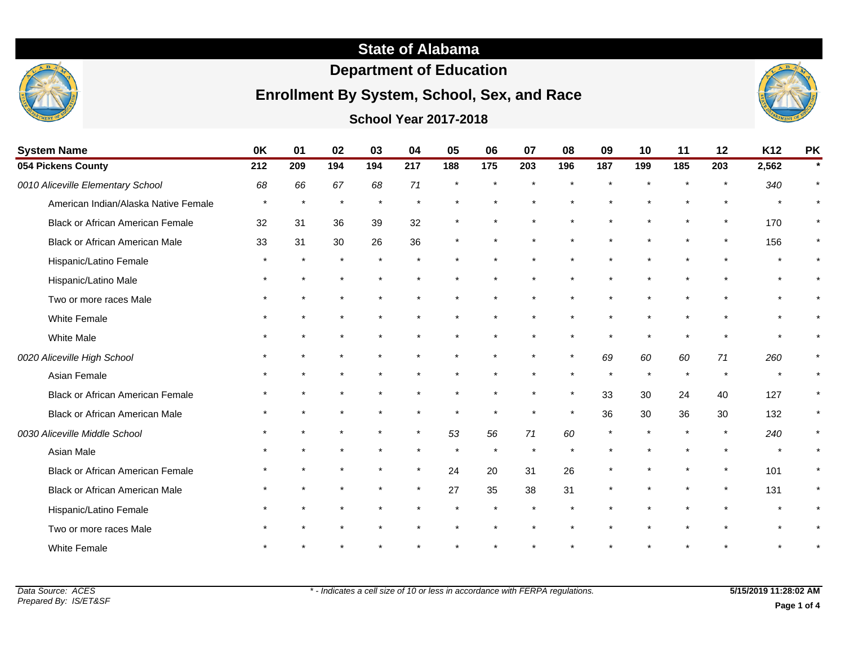#### **State of Alabama**

#### **Department of Education**

#### **Enrollment By System, School, Sex, and Race**

#### **School Year 2017-2018**



| <b>System Name</b>                      | 0K      | 01      | 02      | 03  | 04      | 05      | 06  | 07  | 08      | 09      | 10  | 11      | 12  | K <sub>12</sub> | <b>PK</b> |
|-----------------------------------------|---------|---------|---------|-----|---------|---------|-----|-----|---------|---------|-----|---------|-----|-----------------|-----------|
| 054 Pickens County                      | 212     | 209     | 194     | 194 | 217     | 188     | 175 | 203 | 196     | 187     | 199 | 185     | 203 | 2,562           |           |
| 0010 Aliceville Elementary School       | 68      | 66      | 67      | 68  | 71      |         |     |     |         |         |     |         |     | 340             |           |
| American Indian/Alaska Native Female    | $\star$ | $\star$ | $\star$ |     | $\star$ |         |     |     |         |         |     |         |     | $\star$         | $\star$   |
| <b>Black or African American Female</b> | 32      | 31      | 36      | 39  | 32      |         |     |     |         |         |     |         |     | 170             | $\star$   |
| <b>Black or African American Male</b>   | 33      | 31      | 30      | 26  | 36      | $\star$ |     |     |         |         |     | $\star$ |     | 156             | $\star$   |
| Hispanic/Latino Female                  | $\star$ |         | $\star$ |     | $\star$ |         |     |     |         |         |     |         |     | $\star$         | $\star$   |
| Hispanic/Latino Male                    |         |         |         |     |         |         |     |     |         |         |     |         |     | $\star$         | $\star$   |
| Two or more races Male                  |         |         |         |     |         |         |     |     |         |         |     |         |     | $\star$         | $\star$   |
| White Female                            |         |         |         |     |         |         |     |     |         |         |     |         |     | $\star$         | $\star$   |
| <b>White Male</b>                       |         |         |         |     |         |         |     |     |         |         |     |         |     | $\star$         | $\star$   |
| 0020 Aliceville High School             |         |         |         |     |         |         |     |     | $\ast$  | 69      | 60  | 60      | 71  | 260             |           |
| Asian Female                            |         |         |         |     |         |         |     |     |         | $\star$ |     | $\star$ |     | $\star$         | $\star$   |
| <b>Black or African American Female</b> |         |         |         |     |         |         |     |     |         | 33      | 30  | 24      | 40  | 127             | $\star$   |
| <b>Black or African American Male</b>   |         |         |         |     |         |         |     |     | $\star$ | 36      | 30  | 36      | 30  | 132             | $\star$   |
| 0030 Aliceville Middle School           |         |         | $\star$ |     | $\star$ | 53      | 56  | 71  | 60      | $\star$ |     |         |     | 240             | $\star$   |
| Asian Male                              |         |         |         |     |         | $\star$ |     |     |         |         |     |         |     | $\star$         | $\star$   |
| <b>Black or African American Female</b> |         |         |         |     | $\star$ | 24      | 20  | 31  | 26      |         |     |         |     | 101             | $\star$   |
| <b>Black or African American Male</b>   |         |         |         |     |         | 27      | 35  | 38  | 31      |         |     |         |     | 131             |           |

Hispanic/Latino Female Two or more races Male

White Female \* \* \* \* \* \* \* \* \* \* \* \* \* \* \*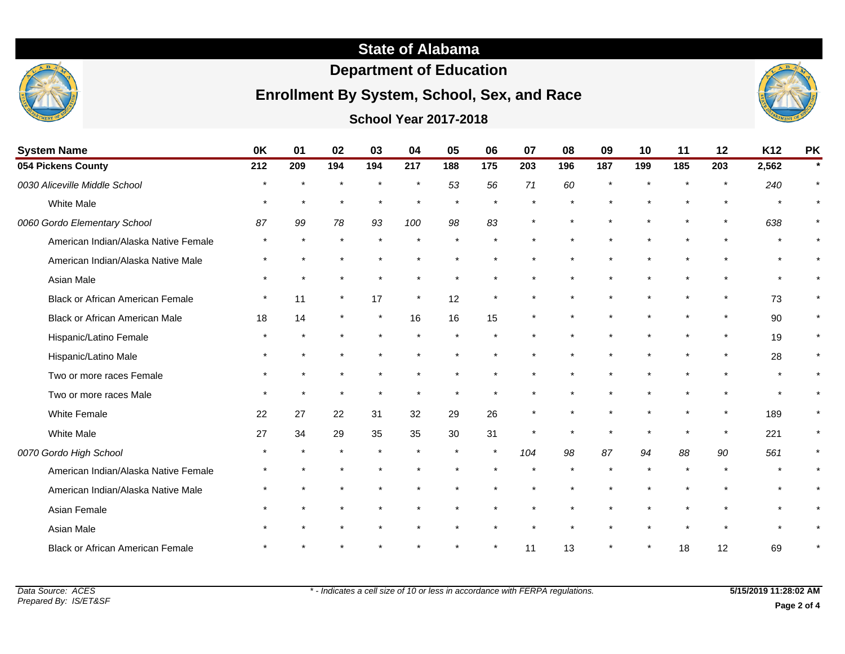## **State of Alabama**

# **Department of Education**

# **Enrollment By System, School, Sex, and Race**



**School Year 2017-2018**

| <b>System Name</b>                      | 0K      | 01      | 02      | 03  | 04      | 05      | 06      | 07      | 08  | 09  | 10  | 11      | 12      | K12   | <b>PK</b>    |
|-----------------------------------------|---------|---------|---------|-----|---------|---------|---------|---------|-----|-----|-----|---------|---------|-------|--------------|
| 054 Pickens County                      | 212     | 209     | 194     | 194 | 217     | 188     | 175     | 203     | 196 | 187 | 199 | 185     | 203     | 2,562 |              |
| 0030 Aliceville Middle School           |         |         |         |     |         | 53      | 56      | 71      | 60  |     |     |         |         | 240   |              |
| <b>White Male</b>                       | $\star$ | $\star$ | $\star$ |     |         | $\star$ | $\star$ |         |     |     |     |         | $\star$ |       |              |
| 0060 Gordo Elementary School            | 87      | 99      | 78      | 93  | 100     | 98      | 83      |         |     |     |     |         |         | 638   |              |
| American Indian/Alaska Native Female    |         |         | $\star$ |     |         |         |         |         |     |     |     |         |         |       |              |
| American Indian/Alaska Native Male      |         |         |         |     |         |         |         |         |     |     |     |         |         |       |              |
| Asian Male                              |         |         | $\star$ |     |         |         |         |         |     |     |     |         |         |       |              |
| <b>Black or African American Female</b> |         | 11      | $\star$ | 17  | $\star$ | 12      | $\star$ |         |     |     |     |         |         | 73    | $\pmb{\ast}$ |
| <b>Black or African American Male</b>   | 18      | 14      | $\star$ |     | 16      | 16      | 15      |         |     |     |     |         | $\star$ | 90    |              |
| Hispanic/Latino Female                  |         |         |         |     |         |         |         |         |     |     |     |         |         | 19    | $\star$      |
| Hispanic/Latino Male                    |         |         |         |     |         |         |         |         |     |     |     |         | $\star$ | 28    | $\star$      |
| Two or more races Female                |         |         |         |     |         |         |         |         |     |     |     |         |         |       |              |
| Two or more races Male                  |         |         | $\star$ |     |         |         |         |         |     |     |     |         |         |       |              |
| White Female                            | 22      | 27      | 22      | 31  | 32      | 29      | 26      |         |     |     |     |         |         | 189   |              |
| <b>White Male</b>                       | 27      | 34      | 29      | 35  | 35      | 30      | 31      | $\star$ |     |     |     | $\star$ | $\star$ | 221   | $\pmb{\ast}$ |
| 0070 Gordo High School                  |         |         |         |     |         |         | $\star$ | 104     | 98  | 87  | 94  | 88      | 90      | 561   |              |
| American Indian/Alaska Native Female    |         |         |         |     |         |         |         |         |     |     |     |         |         |       |              |
| American Indian/Alaska Native Male      |         |         |         |     |         |         |         |         |     |     |     |         |         |       |              |
| Asian Female                            |         |         |         |     |         |         |         |         |     |     |     |         |         |       |              |
| Asian Male                              |         |         |         |     |         |         |         |         |     |     |     |         |         |       |              |
| <b>Black or African American Female</b> |         |         |         |     |         |         |         | 11      | 13  |     |     | 18      | 12      | 69    |              |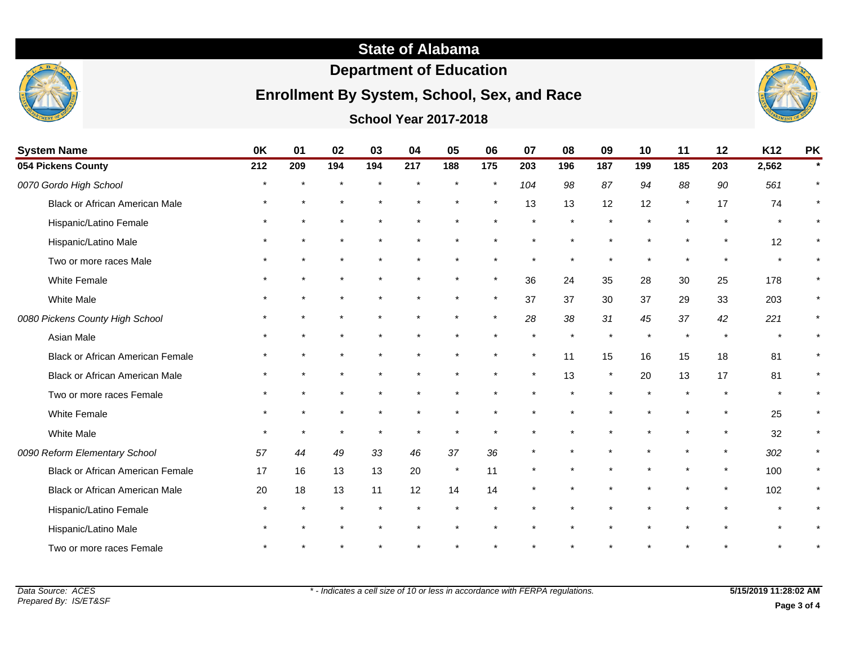# **State of Alabama**

# **Department of Education**

# **Enrollment By System, School, Sex, and Race**



#### **School Year 2017-2018**

| <b>System Name</b>                      | 0K      | 01  | 02            | 03      | 04  | 05      | 06           | 07      | 08  | 09      | 10  | 11      | 12      | K12   | <b>PK</b> |
|-----------------------------------------|---------|-----|---------------|---------|-----|---------|--------------|---------|-----|---------|-----|---------|---------|-------|-----------|
| 054 Pickens County                      | 212     | 209 | 194           | 194     | 217 | 188     | 175          | 203     | 196 | 187     | 199 | 185     | 203     | 2,562 |           |
| 0070 Gordo High School                  |         |     |               |         |     |         | $\star$      | 104     | 98  | 87      | 94  | 88      | 90      | 561   |           |
| <b>Black or African American Male</b>   |         |     |               |         |     |         | $\pmb{\ast}$ | 13      | 13  | 12      | 12  | $\star$ | 17      | 74    |           |
| Hispanic/Latino Female                  |         |     |               |         |     |         |              |         |     |         |     |         |         |       |           |
| Hispanic/Latino Male                    |         |     |               |         |     |         |              |         |     |         |     | $\star$ | $\star$ | 12    |           |
| Two or more races Male                  |         |     |               |         |     |         |              |         |     |         |     | $\star$ |         |       |           |
| <b>White Female</b>                     |         |     |               |         |     |         | $\star$      | 36      | 24  | 35      | 28  | 30      | 25      | 178   |           |
| <b>White Male</b>                       |         |     |               |         |     |         | $\star$      | 37      | 37  | 30      | 37  | 29      | 33      | 203   |           |
| 0080 Pickens County High School         |         |     |               |         |     |         | $\star$      | 28      | 38  | 31      | 45  | 37      | 42      | 221   |           |
| Asian Male                              |         |     |               |         |     |         |              |         |     |         |     | $\star$ |         |       |           |
| <b>Black or African American Female</b> |         |     |               |         |     |         | $\star$      | $\star$ | 11  | 15      | 16  | 15      | 18      | 81    |           |
| <b>Black or African American Male</b>   |         |     |               |         |     |         |              | $\star$ | 13  | $\star$ | 20  | 13      | 17      | 81    |           |
| Two or more races Female                |         |     |               |         |     |         |              |         |     |         |     | $\star$ |         |       |           |
| <b>White Female</b>                     |         |     |               |         |     |         |              |         |     |         |     |         |         | 25    |           |
| <b>White Male</b>                       | $\star$ |     | $\pmb{\star}$ | $\star$ |     | $\star$ | $\star$      |         |     |         |     | $\star$ | $\star$ | 32    |           |
| 0090 Reform Elementary School           | 57      | 44  | 49            | 33      | 46  | 37      | 36           |         |     |         |     | $\star$ | $\star$ | 302   | $\star$   |
| <b>Black or African American Female</b> | 17      | 16  | 13            | 13      | 20  | $\star$ | 11           |         |     |         |     |         |         | 100   |           |
| <b>Black or African American Male</b>   | 20      | 18  | 13            | 11      | 12  | 14      | 14           |         |     |         |     |         |         | 102   |           |
| Hispanic/Latino Female                  |         |     | $\star$       |         |     |         |              |         |     |         |     |         |         |       |           |
| Hispanic/Latino Male                    |         |     |               |         |     |         |              |         |     |         |     |         |         |       |           |
| Two or more races Female                |         |     |               |         |     |         |              |         |     |         |     |         |         |       |           |